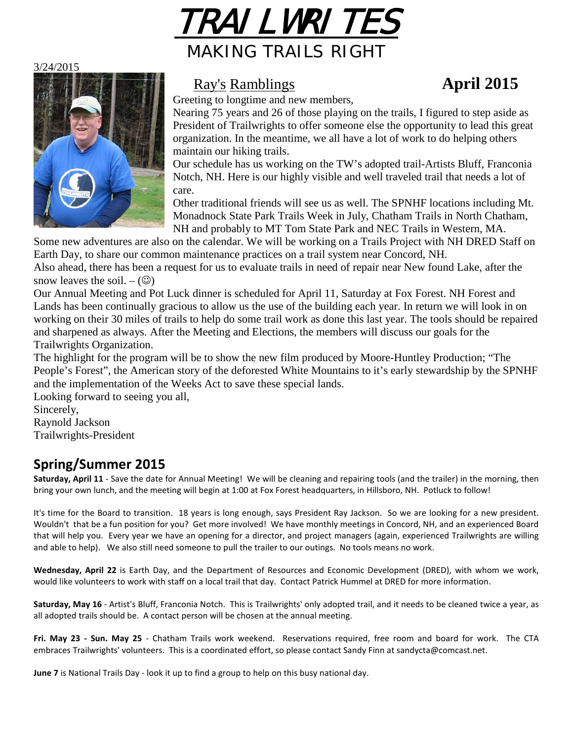

3/24/2015



## Ray's Ramblings **April 2015**

Greeting to longtime and new members,

Nearing 75 years and 26 of those playing on the trails, I figured to step aside as President of Trailwrights to offer someone else the opportunity to lead this great organization. In the meantime, we all have a lot of work to do helping others maintain our hiking trails.

Our schedule has us working on the TW's adopted trail-Artists Bluff, Franconia Notch, NH. Here is our highly visible and well traveled trail that needs a lot of care.

Other traditional friends will see us as well. The SPNHF locations including Mt. Monadnock State Park Trails Week in July, Chatham Trails in North Chatham, NH and probably to MT Tom State Park and NEC Trails in Western, MA.

Some new adventures are also on the calendar. We will be working on a Trails Project with NH DRED Staff on Earth Day, to share our common maintenance practices on a trail system near Concord, NH. Also ahead, there has been a request for us to evaluate trails in need of repair near New found Lake, after the snow leaves the soil.  $-$  ( $\odot$ )

Our Annual Meeting and Pot Luck dinner is scheduled for April 11, Saturday at Fox Forest. NH Forest and Lands has been continually gracious to allow us the use of the building each year. In return we will look in on working on their 30 miles of trails to help do some trail work as done this last year. The tools should be repaired and sharpened as always. After the Meeting and Elections, the members will discuss our goals for the Trailwrights Organization.

The highlight for the program will be to show the new film produced by Moore-Huntley Production; "The People's Forest", the American story of the deforested White Mountains to it's early stewardship by the SPNHF and the implementation of the Weeks Act to save these special lands.

Looking forward to seeing you all, Sincerely, Raynold Jackson Trailwrights-President

# **Spring/Summer 2015**

**Saturday, April 11** - Save the date for Annual Meeting! We will be cleaning and repairing tools (and the trailer) in the morning, then bring your own lunch, and the meeting will begin at 1:00 at Fox Forest headquarters, in Hillsboro, NH. Potluck to follow!

It's time for the Board to transition. 18 years is long enough, says President Ray Jackson. So we are looking for a new president. Wouldn't that be a fun position for you? Get more involved! We have monthly meetings in Concord, NH, and an experienced Board that will help you. Every year we have an opening for a director, and project managers (again, experienced Trailwrights are willing and able to help). We also still need someone to pull the trailer to our outings. No tools means no work.

**Wednesday, April 22** is Earth Day, and the Department of Resources and Economic Development (DRED), with whom we work, would like volunteers to work with staff on a local trail that day. Contact Patrick Hummel at DRED for more information.

**Saturday, May 16** - Artist's Bluff, Franconia Notch. This is Trailwrights' only adopted trail, and it needs to be cleaned twice a year, as all adopted trails should be. A contact person will be chosen at the annual meeting.

**Fri. May 23 - Sun. May 25** - Chatham Trails work weekend. Reservations required, free room and board for work. The CTA embraces Trailwrights' volunteers. This is a coordinated effort, so please contact Sandy Finn at sandycta@comcast.net.

**June 7** is National Trails Day - look it up to find a group to help on this busy national day.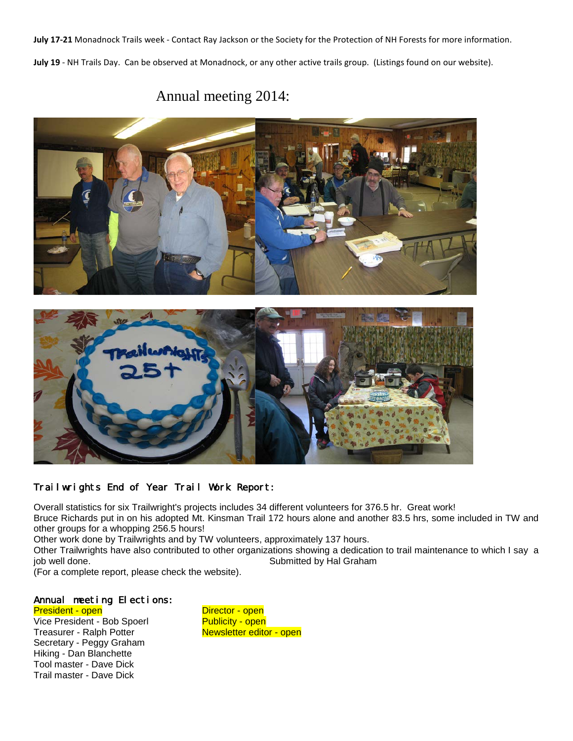**July 17-21** Monadnock Trails week - Contact Ray Jackson or the Society for the Protection of NH Forests for more information. **July 19** - NH Trails Day. Can be observed at Monadnock, or any other active trails group. (Listings found on our website).

## Annual meeting 2014:





### Trailwrights End of Year Trail Work Report:

Overall statistics for six Trailwright's projects includes 34 different volunteers for 376.5 hr. Great work! Bruce Richards put in on his adopted Mt. Kinsman Trail 172 hours alone and another 83.5 hrs, some included in TW and other groups for a whopping 256.5 hours!

Other work done by Trailwrights and by TW volunteers, approximately 137 hours.

Other Trailwrights have also contributed to other organizations showing a dedication to trail maintenance to which I say a Submitted by Hal Graham

(For a complete report, please check the website). Ĩ.

#### Annual meeting Elections:

President - open Director - open Vice President - Bob Spoerl Publicity - open<br>Treasurer - Ralph Potter Newsletter editor - open Treasurer - Ralph Potter Secretary - Peggy Graham Hiking - Dan Blanchette Tool master - Dave Dick Trail master - Dave Dick